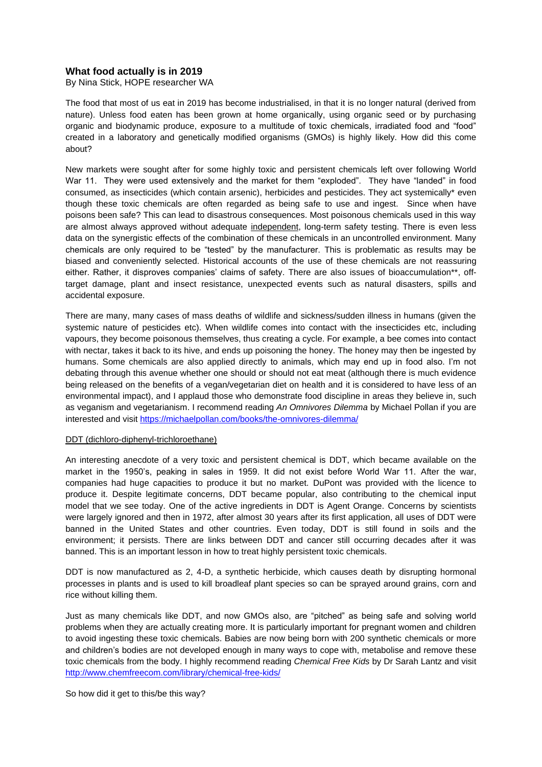# **What food actually is in 2019**

By Nina Stick, HOPE researcher WA

The food that most of us eat in 2019 has become industrialised, in that it is no longer natural (derived from nature). Unless food eaten has been grown at home organically, using organic seed or by purchasing organic and biodynamic produce, exposure to a multitude of toxic chemicals, irradiated food and "food" created in a laboratory and genetically modified organisms (GMOs) is highly likely. How did this come about?

New markets were sought after for some highly toxic and persistent chemicals left over following World War 11. They were used extensively and the market for them "exploded". They have "landed" in food consumed, as insecticides (which contain arsenic), herbicides and pesticides. They act systemically\* even though these toxic chemicals are often regarded as being safe to use and ingest. Since when have poisons been safe? This can lead to disastrous consequences. Most poisonous chemicals used in this way are almost always approved without adequate independent, long-term safety testing. There is even less data on the synergistic effects of the combination of these chemicals in an uncontrolled environment. Many chemicals are only required to be "tested" by the manufacturer. This is problematic as results may be biased and conveniently selected. Historical accounts of the use of these chemicals are not reassuring either. Rather, it disproves companies' claims of safety. There are also issues of bioaccumulation\*\*, offtarget damage, plant and insect resistance, unexpected events such as natural disasters, spills and accidental exposure.

There are many, many cases of mass deaths of wildlife and sickness/sudden illness in humans (given the systemic nature of pesticides etc). When wildlife comes into contact with the insecticides etc, including vapours, they become poisonous themselves, thus creating a cycle. For example, a bee comes into contact with nectar, takes it back to its hive, and ends up poisoning the honey. The honey may then be ingested by humans. Some chemicals are also applied directly to animals, which may end up in food also. I'm not debating through this avenue whether one should or should not eat meat (although there is much evidence being released on the benefits of a vegan/vegetarian diet on health and it is considered to have less of an environmental impact), and I applaud those who demonstrate food discipline in areas they believe in, such as veganism and vegetarianism. I recommend reading *An Omnivores Dilemma* by Michael Pollan if you are interested and visit<https://michaelpollan.com/books/the-omnivores-dilemma/>

### DDT (dichloro-diphenyl-trichloroethane)

An interesting anecdote of a very toxic and persistent chemical is DDT, which became available on the market in the 1950's, peaking in sales in 1959. It did not exist before World War 11. After the war, companies had huge capacities to produce it but no market. DuPont was provided with the licence to produce it. Despite legitimate concerns, DDT became popular, also contributing to the chemical input model that we see today. One of the active ingredients in DDT is Agent Orange. Concerns by scientists were largely ignored and then in 1972, after almost 30 years after its first application, all uses of DDT were banned in the United States and other countries. Even today, DDT is still found in soils and the environment; it persists. There are links between DDT and cancer still occurring decades after it was banned. This is an important lesson in how to treat highly persistent toxic chemicals.

DDT is now manufactured as 2, 4-D, a synthetic herbicide, which causes death by disrupting hormonal processes in plants and is used to kill broadleaf plant species so can be sprayed around grains, corn and rice without killing them.

Just as many chemicals like DDT, and now GMOs also, are "pitched" as being safe and solving world problems when they are actually creating more. It is particularly important for pregnant women and children to avoid ingesting these toxic chemicals. Babies are now being born with 200 synthetic chemicals or more and children's bodies are not developed enough in many ways to cope with, metabolise and remove these toxic chemicals from the body. I highly recommend reading *Chemical Free Kids* by Dr Sarah Lantz and visit <http://www.chemfreecom.com/library/chemical-free-kids/>

So how did it get to this/be this way?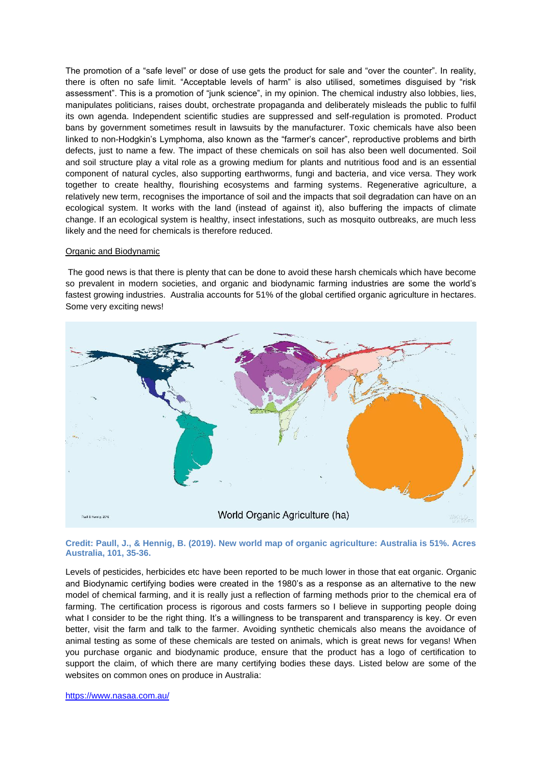The promotion of a "safe level" or dose of use gets the product for sale and "over the counter". In reality, there is often no safe limit. "Acceptable levels of harm" is also utilised, sometimes disguised by "risk assessment". This is a promotion of "junk science", in my opinion. The chemical industry also lobbies, lies, manipulates politicians, raises doubt, orchestrate propaganda and deliberately misleads the public to fulfil its own agenda. Independent scientific studies are suppressed and self-regulation is promoted. Product bans by government sometimes result in lawsuits by the manufacturer. Toxic chemicals have also been linked to non-Hodgkin's Lymphoma, also known as the "farmer's cancer", reproductive problems and birth defects, just to name a few. The impact of these chemicals on soil has also been well documented. Soil and soil structure play a vital role as a growing medium for plants and nutritious food and is an essential component of natural cycles, also supporting earthworms, fungi and bacteria, and vice versa. They work together to create healthy, flourishing ecosystems and farming systems. Regenerative agriculture, a relatively new term, recognises the importance of soil and the impacts that soil degradation can have on an ecological system. It works with the land (instead of against it), also buffering the impacts of climate change. If an ecological system is healthy, insect infestations, such as mosquito outbreaks, are much less likely and the need for chemicals is therefore reduced.

### Organic and Biodynamic

The good news is that there is plenty that can be done to avoid these harsh chemicals which have become so prevalent in modern societies, and organic and biodynamic farming industries are some the world's fastest growing industries. Australia accounts for 51% of the global certified organic agriculture in hectares. Some very exciting news!



## **Credit: Paull, J., & Hennig, B. (2019). New world map of organic agriculture: Australia is 51%. Acres Australia, 101, 35-36.**

Levels of pesticides, herbicides etc have been reported to be much lower in those that eat organic. Organic and Biodynamic certifying bodies were created in the 1980's as a response as an alternative to the new model of chemical farming, and it is really just a reflection of farming methods prior to the chemical era of farming. The certification process is rigorous and costs farmers so I believe in supporting people doing what I consider to be the right thing. It's a willingness to be transparent and transparency is key. Or even better, visit the farm and talk to the farmer. Avoiding synthetic chemicals also means the avoidance of animal testing as some of these chemicals are tested on animals, which is great news for vegans! When you purchase organic and biodynamic produce, ensure that the product has a logo of certification to support the claim, of which there are many certifying bodies these days. Listed below are some of the websites on common ones on produce in Australia: